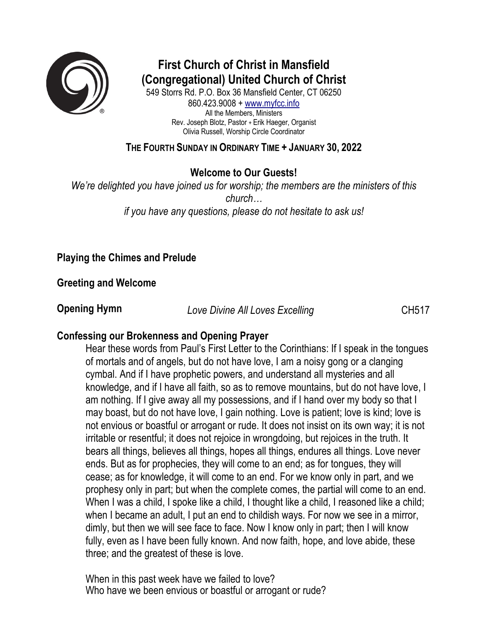

# **First Church of Christ in Mansfield (Congregational) United Church of Christ**

549 Storrs Rd. P.O. Box 36 Mansfield Center, CT 06250 860.423.9008 + www.myfcc.info All the Members, Ministers Rev. Joseph Blotz, Pastor + Erik Haeger, Organist Olivia Russell, Worship Circle Coordinator

## **THE FOURTH SUNDAY IN ORDINARY TIME + JANUARY 30, 2022**

**Welcome to Our Guests!**

*We're delighted you have joined us for worship; the members are the ministers of this church… if you have any questions, please do not hesitate to ask us!*

# **Playing the Chimes and Prelude**

**Greeting and Welcome** 

**Opening Hymn** *Love Divine All Loves Excelling* **CH517** 

# **Confessing our Brokenness and Opening Prayer**

Hear these words from Paul's First Letter to the Corinthians: If I speak in the tongues of mortals and of angels, but do not have love, I am a noisy gong or a clanging cymbal. And if I have prophetic powers, and understand all mysteries and all knowledge, and if I have all faith, so as to remove mountains, but do not have love, I am nothing. If I give away all my possessions, and if I hand over my body so that I may boast, but do not have love, I gain nothing. Love is patient; love is kind; love is not envious or boastful or arrogant or rude. It does not insist on its own way; it is not irritable or resentful; it does not rejoice in wrongdoing, but rejoices in the truth. It bears all things, believes all things, hopes all things, endures all things. Love never ends. But as for prophecies, they will come to an end; as for tongues, they will cease; as for knowledge, it will come to an end. For we know only in part, and we prophesy only in part; but when the complete comes, the partial will come to an end. When I was a child, I spoke like a child, I thought like a child, I reasoned like a child; when I became an adult, I put an end to childish ways. For now we see in a mirror, dimly, but then we will see face to face. Now I know only in part; then I will know fully, even as I have been fully known. And now faith, hope, and love abide, these three; and the greatest of these is love.

When in this past week have we failed to love? Who have we been envious or boastful or arrogant or rude?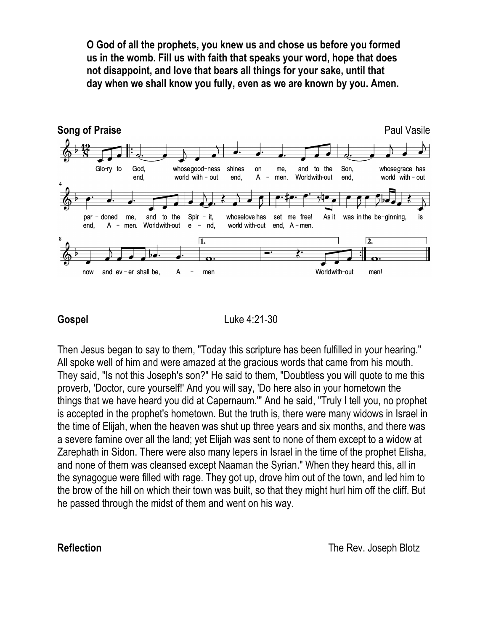**O God of all the prophets, you knew us and chose us before you formed us in the womb. Fill us with faith that speaks your word, hope that does not disappoint, and love that bears all things for your sake, until that day when we shall know you fully, even as we are known by you. Amen.**



**Gospel** Luke 4:21-30

Then Jesus began to say to them, "Today this scripture has been fulfilled in your hearing." All spoke well of him and were amazed at the gracious words that came from his mouth. They said, "Is not this Joseph's son?" He said to them, "Doubtless you will quote to me this proverb, 'Doctor, cure yourself!' And you will say, 'Do here also in your hometown the things that we have heard you did at Capernaum.'" And he said, "Truly I tell you, no prophet is accepted in the prophet's hometown. But the truth is, there were many widows in Israel in the time of Elijah, when the heaven was shut up three years and six months, and there was a severe famine over all the land; yet Elijah was sent to none of them except to a widow at Zarephath in Sidon. There were also many lepers in Israel in the time of the prophet Elisha, and none of them was cleansed except Naaman the Syrian." When they heard this, all in the synagogue were filled with rage. They got up, drove him out of the town, and led him to the brow of the hill on which their town was built, so that they might hurl him off the cliff. But he passed through the midst of them and went on his way.

**Reflection** The Rev. Joseph Blotz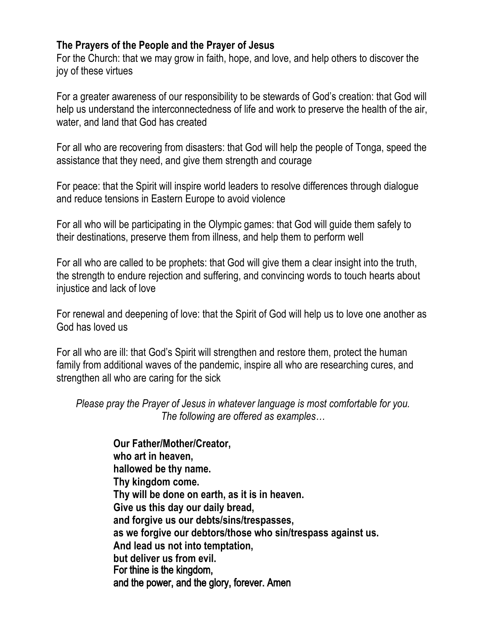### **The Prayers of the People and the Prayer of Jesus**

For the Church: that we may grow in faith, hope, and love, and help others to discover the joy of these virtues

For a greater awareness of our responsibility to be stewards of God's creation: that God will help us understand the interconnectedness of life and work to preserve the health of the air, water, and land that God has created

For all who are recovering from disasters: that God will help the people of Tonga, speed the assistance that they need, and give them strength and courage

For peace: that the Spirit will inspire world leaders to resolve differences through dialogue and reduce tensions in Eastern Europe to avoid violence

For all who will be participating in the Olympic games: that God will guide them safely to their destinations, preserve them from illness, and help them to perform well

For all who are called to be prophets: that God will give them a clear insight into the truth, the strength to endure rejection and suffering, and convincing words to touch hearts about injustice and lack of love

For renewal and deepening of love: that the Spirit of God will help us to love one another as God has loved us

For all who are ill: that God's Spirit will strengthen and restore them, protect the human family from additional waves of the pandemic, inspire all who are researching cures, and strengthen all who are caring for the sick

*Please pray the Prayer of Jesus in whatever language is most comfortable for you. The following are offered as examples…*

> **Our Father/Mother/Creator, who art in heaven, hallowed be thy name. Thy kingdom come. Thy will be done on earth, as it is in heaven. Give us this day our daily bread, and forgive us our debts/sins/trespasses, as we forgive our debtors/those who sin/trespass against us. And lead us not into temptation, but deliver us from evil.**  For thine is the kingdom, and the power, and the glory, forever. Amen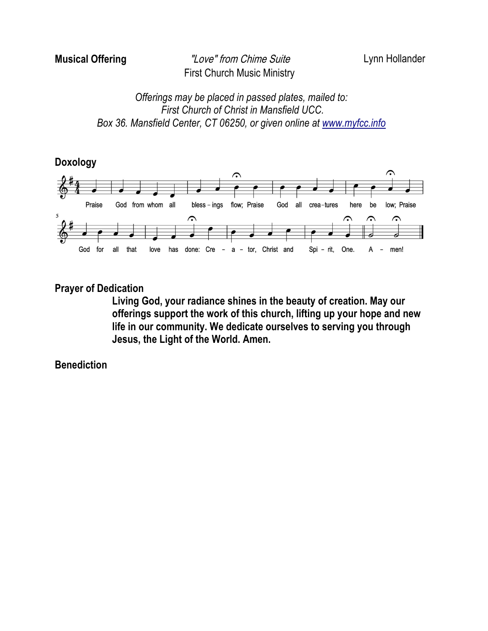# **Musical Offering** "Love" from Chime Suite Lynn Hollander First Church Music Ministry

*Offerings may be placed in passed plates, mailed to: First Church of Christ in Mansfield UCC. Box 36. Mansfield Center, CT 06250, or given online at www.myfcc.info*





#### **Prayer of Dedication**

**Living God, your radiance shines in the beauty of creation. May our offerings support the work of this church, lifting up your hope and new life in our community. We dedicate ourselves to serving you through Jesus, the Light of the World. Amen.**

**Benediction**